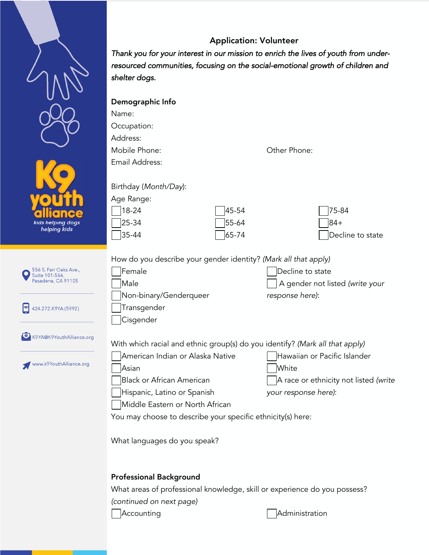## Application: Volunteer

*Thank you for your interest in our mission to enrich the lives of youth from underresourced communities, focusing on the social-emotional growth of children and shelter dogs.* 

|                                                                                       | Demographic Info<br>Name:<br>Occupation:<br>Address:<br>Mobile Phone:<br>Email Address:<br>Birthday (Month/Day):<br>Age Range:                                                                                                                                                                 | Other Phone:            |                                                                                                        |
|---------------------------------------------------------------------------------------|------------------------------------------------------------------------------------------------------------------------------------------------------------------------------------------------------------------------------------------------------------------------------------------------|-------------------------|--------------------------------------------------------------------------------------------------------|
| kids helping dogs<br>helping kids                                                     | 18-24<br>25-34<br>$35 - 44$                                                                                                                                                                                                                                                                    | 45-54<br>55-64<br>65-74 | 75-84<br>84+<br>Decline to state                                                                       |
| 556 S. Fair Oaks Ave.,<br>Suite 101-566,<br>Pasadena, CA 91105<br>424.272.K9YA (5992) | How do you describe your gender identity? (Mark all that apply)<br>Female<br>Male<br>Non-binary/Genderqueer<br>Transgender<br>Cisgender                                                                                                                                                        |                         | Decline to state<br>A gender not listed (write your<br>response here):                                 |
| K9YA@K9YouthAlliance.org<br>www.k9YouthAlliance.org                                   | With which racial and ethnic group(s) do you identify? (Mark all that apply)<br>American Indian or Alaska Native<br>Asian<br><b>Black or African American</b><br>Hispanic, Latino or Spanish<br>Middle Eastern or North African<br>You may choose to describe your specific ethnicity(s) here: |                         | Hawaiian or Pacific Islander<br>White<br>A race or ethnicity not listed (write<br>your response here): |
|                                                                                       | What languages do you speak?<br><b>Professional Background</b>                                                                                                                                                                                                                                 |                         |                                                                                                        |

What areas of professional knowledge, skill or experience do you possess? *(continued on next page)*

Accounting and all and a metal and a metal and a metal and a metal and a metal and a metal and a metal and a m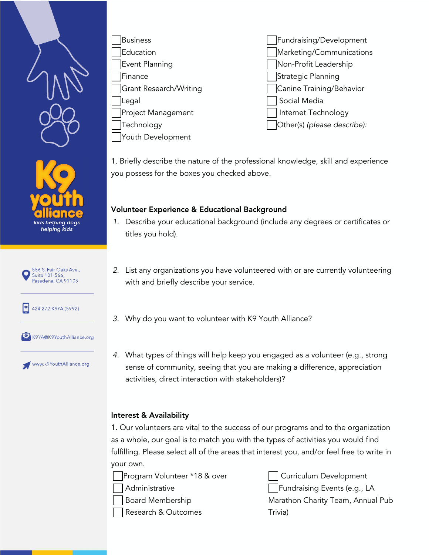



Fundraising/Development Marketing/Communications Non-Profit Leadership Strategic Planning Canine Training/Behavior Social Media Internet Technology Other(s) *(please describe):*

1. Briefly describe the nature of the professional knowledge, skill and experience you possess for the boxes you checked above.

## Volunteer Experience & Educational Background

- *1.* Describe your educational background (include any degrees or certificates or titles you hold).
- *2.* List any organizations you have volunteered with or are currently volunteering with and briefly describe your service*.*
- *3.* Why do you want to volunteer with K9 Youth Alliance?
- *4.* What types of things will help keep you engaged as a volunteer (e.g., strong sense of community, seeing that you are making a difference, appreciation activities, direct interaction with stakeholders)?

## Interest & Availability

1. Our volunteers are vital to the success of our programs and to the organization as a whole, our goal is to match you with the types of activities you would find fulfilling. Please select all of the areas that interest you, and/or feel free to write in your own.

Program Volunteer \*18 & over Administrative

Board Membership

Research & Outcomes

Curriculum Development Fundraising Events (e.g., LA Marathon Charity Team, Annual Pub Trivia)









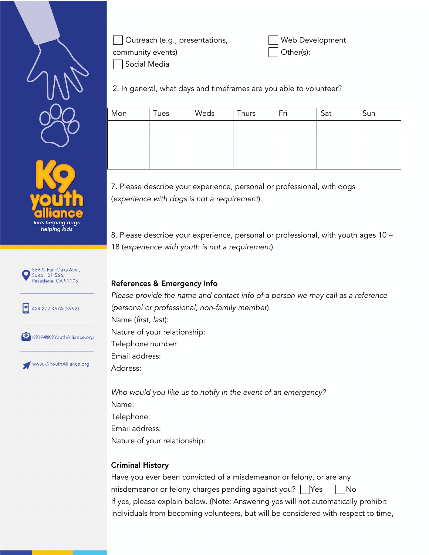





Web Development Other(s):

2. In general, what days and timeframes are you able to volunteer?

| Mon | Tues | Weds | Thurs | Fri | Sat | Sun |
|-----|------|------|-------|-----|-----|-----|
|     |      |      |       |     |     |     |
|     |      |      |       |     |     |     |
|     |      |      |       |     |     |     |
|     |      |      |       |     |     |     |

7. Please describe your experience, personal or professional, with dogs (*experience with dogs is not a requirement*).

8. Please describe your experience, personal or professional, with youth ages 10 – 18 (*experience with youth is not a requirement*).



www.k9YouthAlliance.org

References & Emergency Info

Please provide the name and contact info of a person we may call as a reference *(personal or professional, non-family member*). Name (*first, last*): Nature of your relationship: Telephone number: Email address: Address:

*Who would you like us to notify in the event of an emergency?* Name: Telephone: Email address: Nature of your relationship:

## Criminal History

Have you ever been convicted of a misdemeanor or felony, or are any misdemeanor or felony charges pending against you?  $\bigcap$  Yes  $\bigcap$  No If yes, please explain below. (Note: Answering yes will not automatically prohibit individuals from becoming volunteers, but will be considered with respect to time,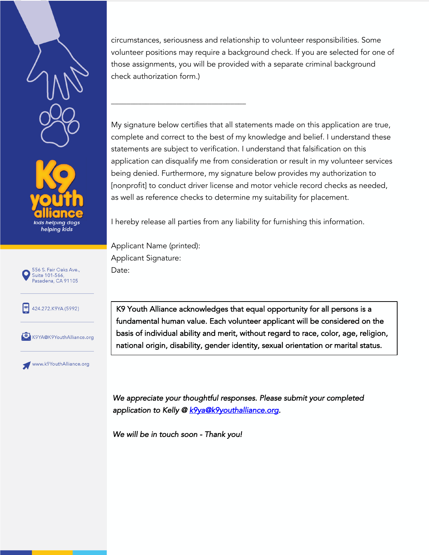



circumstances, seriousness and relationship to volunteer responsibilities. Some volunteer positions may require a background check. If you are selected for one of those assignments, you will be provided with a separate criminal background check authorization form.)

My signature below certifies that all statements made on this application are true, complete and correct to the best of my knowledge and belief. I understand these statements are subject to verification. I understand that falsification on this application can disqualify me from consideration or result in my volunteer services being denied. Furthermore, my signature below provides my authorization to [nonprofit] to conduct driver license and motor vehicle record checks as needed, as well as reference checks to determine my suitability for placement.

I hereby release all parties from any liability for furnishing this information.

Applicant Name (printed): Applicant Signature: Date:

 $\frac{1}{2}$  ,  $\frac{1}{2}$  ,  $\frac{1}{2}$  ,  $\frac{1}{2}$  ,  $\frac{1}{2}$  ,  $\frac{1}{2}$  ,  $\frac{1}{2}$  ,  $\frac{1}{2}$  ,  $\frac{1}{2}$  ,  $\frac{1}{2}$  ,  $\frac{1}{2}$  ,  $\frac{1}{2}$  ,  $\frac{1}{2}$  ,  $\frac{1}{2}$  ,  $\frac{1}{2}$  ,  $\frac{1}{2}$  ,  $\frac{1}{2}$  ,  $\frac{1}{2}$  ,  $\frac{1$ 







www.k9YouthAlliance.org

K9 Youth Alliance acknowledges that equal opportunity for all persons is a fundamental human value. Each volunteer applicant will be considered on the basis of individual ability and merit, without regard to race, color, age, religion, national origin, disability, gender identity, sexual orientation or marital status.

*We appreciate your thoughtful responses. Please submit your completed application to Kelly @ k9ya@k9youthalliance.org.* 

*We will be in touch soon - Thank you!*